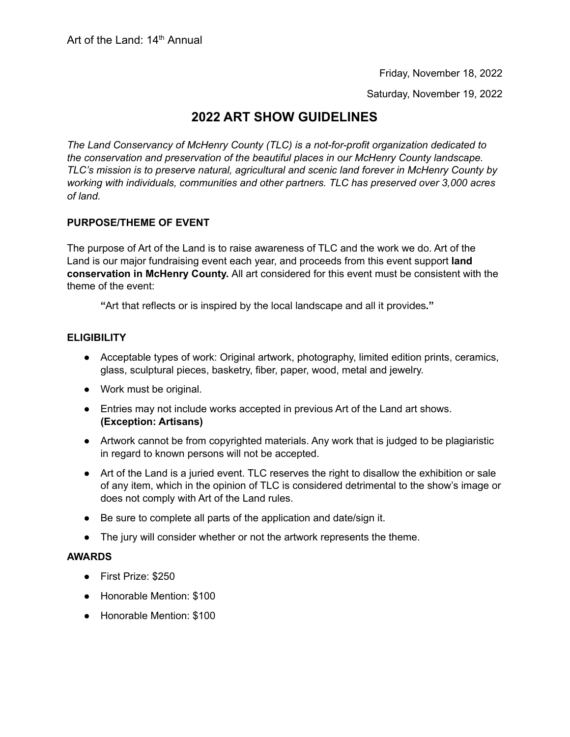Friday, November 18, 2022

Saturday, November 19, 2022

# **2022 ART SHOW GUIDELINES**

*The Land Conservancy of McHenry County (TLC) is a not-for-profit organization dedicated to the conservation and preservation of the beautiful places in our McHenry County landscape. TLC's mission is to preserve natural, agricultural and scenic land forever in McHenry County by working with individuals, communities and other partners. TLC has preserved over 3,000 acres of land.*

# **PURPOSE/THEME OF EVENT**

The purpose of Art of the Land is to raise awareness of TLC and the work we do. Art of the Land is our major fundraising event each year, and proceeds from this event support **land conservation in McHenry County.** All art considered for this event must be consistent with the theme of the event:

**"**Art that reflects or is inspired by the local landscape and all it provides**."**

# **ELIGIBILITY**

- Acceptable types of work: Original artwork, photography, limited edition prints, ceramics, glass, sculptural pieces, basketry, fiber, paper, wood, metal and jewelry.
- Work must be original.
- Entries may not include works accepted in previous Art of the Land art shows. **(Exception: Artisans)**
- Artwork cannot be from copyrighted materials. Any work that is judged to be plagiaristic in regard to known persons will not be accepted.
- Art of the Land is a juried event. TLC reserves the right to disallow the exhibition or sale of any item, which in the opinion of TLC is considered detrimental to the show's image or does not comply with Art of the Land rules.
- Be sure to complete all parts of the application and date/sign it.
- The jury will consider whether or not the artwork represents the theme.

#### **AWARDS**

- First Prize: \$250
- Honorable Mention: \$100
- Honorable Mention: \$100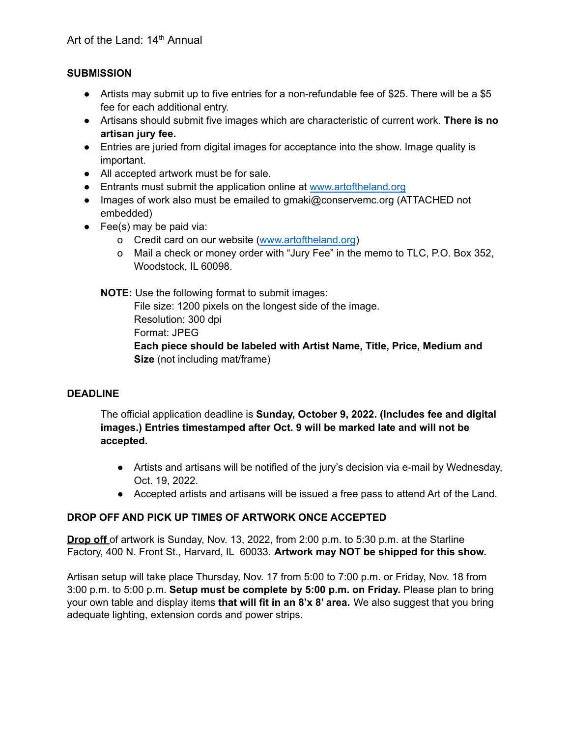# **SUBMISSION**

- Artists may submit up to five entries for a non-refundable fee of \$25. There will be a \$5 fee for each additional entry.
- Artisans should submit five images which are characteristic of current work. **There is no artisan jury fee.**
- Entries are juried from digital images for acceptance into the show. Image quality is important.
- All accepted artwork must be for sale.
- Entrants must submit the application online at www.artoftheland.org
- Images of work also must be emailed to gmaki@conservemc.org (ATTACHED not embedded)
- $\bullet$  Fee(s) may be paid via:
	- o Credit card on our website (www.artoftheland.org)
	- o Mail a check or money order with "Jury Fee" in the memo to TLC, P.O. Box 352, Woodstock, IL 60098.

**NOTE:** Use the following format to submit images:

File size: 1200 pixels on the longest side of the image. Resolution: 300 dpi Format: JPEG **Each piece should be labeled with Artist Name, Title, Price, Medium and Size** (not including mat/frame)

# **DEADLINE**

The official application deadline is **Sunday, October 9, 2022. (Includes fee and digital images.) Entries timestamped after Oct. 9 will be marked late and will not be accepted.**

- Artists and artisans will be notified of the jury's decision via e-mail by Wednesday, Oct. 19, 2022.
- Accepted artists and artisans will be issued a free pass to attend Art of the Land.

# **DROP OFF AND PICK UP TIMES OF ARTWORK ONCE ACCEPTED**

**Drop off** of artwork is Sunday, Nov. 13, 2022, from 2:00 p.m. to 5:30 p.m. at the Starline Factory, 400 N. Front St., Harvard, IL 60033. **Artwork may NOT be shipped for this show.**

Artisan setup will take place Thursday, Nov. 17 from 5:00 to 7:00 p.m. or Friday, Nov. 18 from 3:00 p.m. to 5:00 p.m. **Setup must be complete by 5:00 p.m. on Friday.** Please plan to bring your own table and display items **that will fit in an 8'x 8' area.** We also suggest that you bring adequate lighting, extension cords and power strips.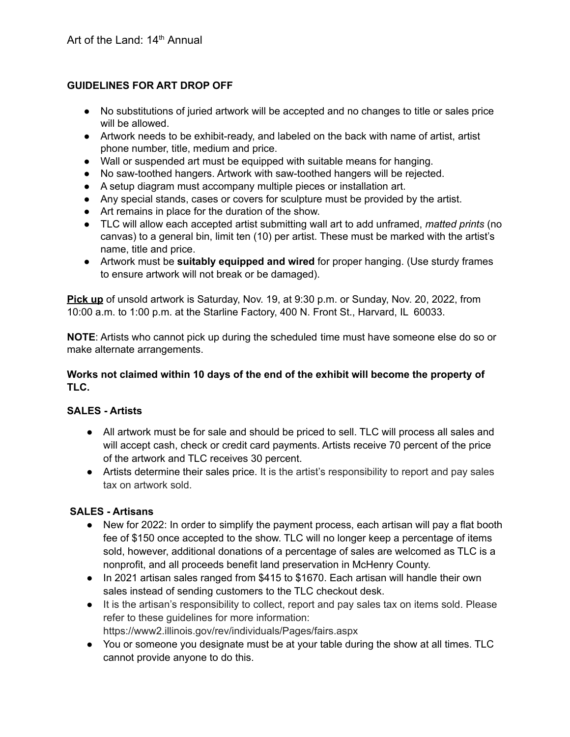# **GUIDELINES FOR ART DROP OFF**

- No substitutions of juried artwork will be accepted and no changes to title or sales price will be allowed.
- Artwork needs to be exhibit-ready, and labeled on the back with name of artist, artist phone number, title, medium and price.
- Wall or suspended art must be equipped with suitable means for hanging.
- No saw-toothed hangers. Artwork with saw-toothed hangers will be rejected.
- A setup diagram must accompany multiple pieces or installation art.
- Any special stands, cases or covers for sculpture must be provided by the artist.
- Art remains in place for the duration of the show.
- TLC will allow each accepted artist submitting wall art to add unframed, *matted prints* (no canvas) to a general bin, limit ten (10) per artist. These must be marked with the artist's name, title and price.
- Artwork must be **suitably equipped and wired** for proper hanging. (Use sturdy frames to ensure artwork will not break or be damaged).

**Pick up** of unsold artwork is Saturday, Nov. 19, at 9:30 p.m. or Sunday, Nov. 20, 2022, from 10:00 a.m. to 1:00 p.m. at the Starline Factory, 400 N. Front St., Harvard, IL 60033.

**NOTE**: Artists who cannot pick up during the scheduled time must have someone else do so or make alternate arrangements.

# **Works not claimed within 10 days of the end of the exhibit will become the property of TLC.**

#### **SALES - Artists**

- All artwork must be for sale and should be priced to sell. TLC will process all sales and will accept cash, check or credit card payments. Artists receive 70 percent of the price of the artwork and TLC receives 30 percent.
- Artists determine their sales price. It is the artist's responsibility to report and pay sales tax on artwork sold.

#### **SALES - Artisans**

- New for 2022: In order to simplify the payment process, each artisan will pay a flat booth fee of \$150 once accepted to the show. TLC will no longer keep a percentage of items sold, however, additional donations of a percentage of sales are welcomed as TLC is a nonprofit, and all proceeds benefit land preservation in McHenry County.
- In 2021 artisan sales ranged from \$415 to \$1670. Each artisan will handle their own sales instead of sending customers to the TLC checkout desk.
- It is the artisan's responsibility to collect, report and pay sales tax on items sold. Please refer to these guidelines for more information: https://www2.illinois.gov/rev/individuals/Pages/fairs.aspx
- You or someone you designate must be at your table during the show at all times. TLC cannot provide anyone to do this.